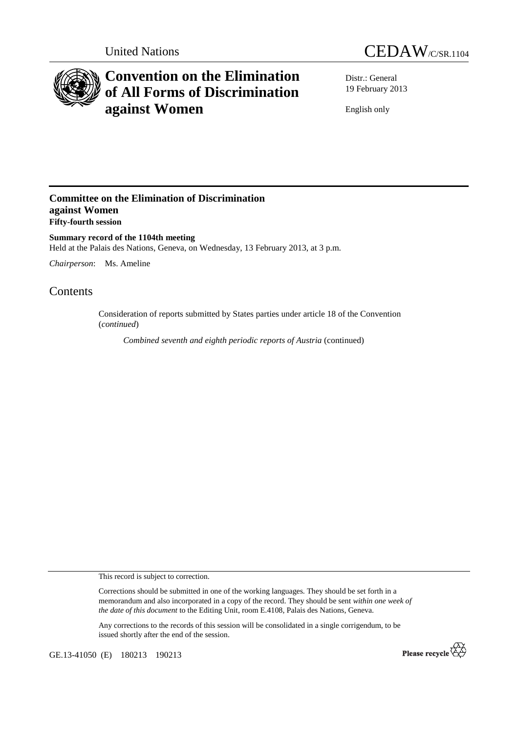



# **Convention on the Elimination of All Forms of Discrimination against Women**

Distr.: General 19 February 2013

English only

## **Committee on the Elimination of Discrimination against Women Fifty-fourth session**

**Summary record of the 1104th meeting**  Held at the Palais des Nations, Geneva, on Wednesday, 13 February 2013, at 3 p.m.

*Chairperson*: Ms. Ameline

## Contents

Consideration of reports submitted by States parties under article 18 of the Convention (*continued*)

*Combined seventh and eighth periodic reports of Austria* (continued)

This record is subject to correction.

Corrections should be submitted in one of the working languages. They should be set forth in a memorandum and also incorporated in a copy of the record. They should be sent *within one week of the date of this document* to the Editing Unit, room E.4108, Palais des Nations, Geneva.

Any corrections to the records of this session will be consolidated in a single corrigendum, to be issued shortly after the end of the session.

GE.13-41050 (E) 180213 190213

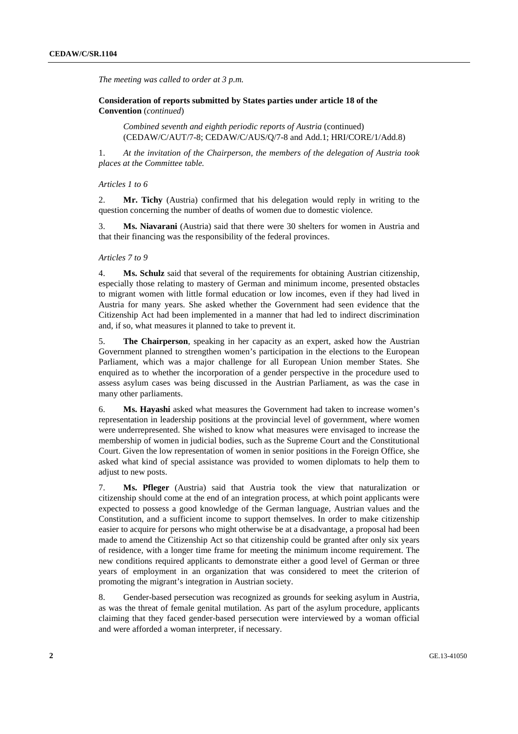*The meeting was called to order at 3 p.m.* 

 **Consideration of reports submitted by States parties under article 18 of the Convention** (*continued*)

*Combined seventh and eighth periodic reports of Austria* (continued) (CEDAW/C/AUT/7-8; CEDAW/C/AUS/Q/7-8 and Add.1; HRI/CORE/1/Add.8)

1. *At the invitation of the Chairperson, the members of the delegation of Austria took places at the Committee table.* 

#### *Articles 1 to 6*

2. **Mr. Tichy** (Austria) confirmed that his delegation would reply in writing to the question concerning the number of deaths of women due to domestic violence.

3. **Ms. Niavarani** (Austria) said that there were 30 shelters for women in Austria and that their financing was the responsibility of the federal provinces.

### *Articles 7 to 9*

4. **Ms. Schulz** said that several of the requirements for obtaining Austrian citizenship, especially those relating to mastery of German and minimum income, presented obstacles to migrant women with little formal education or low incomes, even if they had lived in Austria for many years. She asked whether the Government had seen evidence that the Citizenship Act had been implemented in a manner that had led to indirect discrimination and, if so, what measures it planned to take to prevent it.

5. **The Chairperson**, speaking in her capacity as an expert, asked how the Austrian Government planned to strengthen women's participation in the elections to the European Parliament, which was a major challenge for all European Union member States. She enquired as to whether the incorporation of a gender perspective in the procedure used to assess asylum cases was being discussed in the Austrian Parliament, as was the case in many other parliaments.

6. **Ms. Hayashi** asked what measures the Government had taken to increase women's representation in leadership positions at the provincial level of government, where women were underrepresented. She wished to know what measures were envisaged to increase the membership of women in judicial bodies, such as the Supreme Court and the Constitutional Court. Given the low representation of women in senior positions in the Foreign Office, she asked what kind of special assistance was provided to women diplomats to help them to adjust to new posts.

7. **Ms. Pfleger** (Austria) said that Austria took the view that naturalization or citizenship should come at the end of an integration process, at which point applicants were expected to possess a good knowledge of the German language, Austrian values and the Constitution, and a sufficient income to support themselves. In order to make citizenship easier to acquire for persons who might otherwise be at a disadvantage, a proposal had been made to amend the Citizenship Act so that citizenship could be granted after only six years of residence, with a longer time frame for meeting the minimum income requirement. The new conditions required applicants to demonstrate either a good level of German or three years of employment in an organization that was considered to meet the criterion of promoting the migrant's integration in Austrian society.

8. Gender-based persecution was recognized as grounds for seeking asylum in Austria, as was the threat of female genital mutilation. As part of the asylum procedure, applicants claiming that they faced gender-based persecution were interviewed by a woman official and were afforded a woman interpreter, if necessary.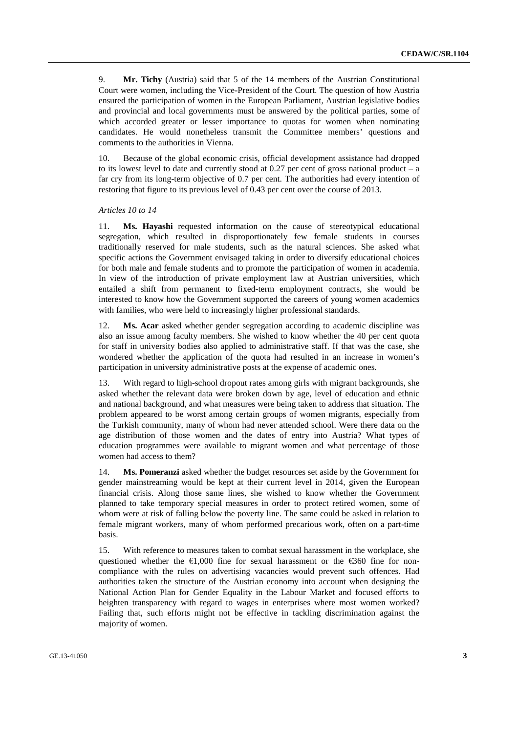9. **Mr. Tichy** (Austria) said that 5 of the 14 members of the Austrian Constitutional Court were women, including the Vice-President of the Court. The question of how Austria ensured the participation of women in the European Parliament, Austrian legislative bodies and provincial and local governments must be answered by the political parties, some of which accorded greater or lesser importance to quotas for women when nominating candidates. He would nonetheless transmit the Committee members' questions and comments to the authorities in Vienna.

10. Because of the global economic crisis, official development assistance had dropped to its lowest level to date and currently stood at 0.27 per cent of gross national product – a far cry from its long-term objective of 0.7 per cent. The authorities had every intention of restoring that figure to its previous level of 0.43 per cent over the course of 2013.

#### *Articles 10 to 14*

11. **Ms. Hayashi** requested information on the cause of stereotypical educational segregation, which resulted in disproportionately few female students in courses traditionally reserved for male students, such as the natural sciences. She asked what specific actions the Government envisaged taking in order to diversify educational choices for both male and female students and to promote the participation of women in academia. In view of the introduction of private employment law at Austrian universities, which entailed a shift from permanent to fixed-term employment contracts, she would be interested to know how the Government supported the careers of young women academics with families, who were held to increasingly higher professional standards.

12. **Ms. Acar** asked whether gender segregation according to academic discipline was also an issue among faculty members. She wished to know whether the 40 per cent quota for staff in university bodies also applied to administrative staff. If that was the case, she wondered whether the application of the quota had resulted in an increase in women's participation in university administrative posts at the expense of academic ones.

13. With regard to high-school dropout rates among girls with migrant backgrounds, she asked whether the relevant data were broken down by age, level of education and ethnic and national background, and what measures were being taken to address that situation. The problem appeared to be worst among certain groups of women migrants, especially from the Turkish community, many of whom had never attended school. Were there data on the age distribution of those women and the dates of entry into Austria? What types of education programmes were available to migrant women and what percentage of those women had access to them?

14. **Ms. Pomeranzi** asked whether the budget resources set aside by the Government for gender mainstreaming would be kept at their current level in 2014, given the European financial crisis. Along those same lines, she wished to know whether the Government planned to take temporary special measures in order to protect retired women, some of whom were at risk of falling below the poverty line. The same could be asked in relation to female migrant workers, many of whom performed precarious work, often on a part-time basis.

15. With reference to measures taken to combat sexual harassment in the workplace, she questioned whether the  $\epsilon$ 1,000 fine for sexual harassment or the  $\epsilon$ 360 fine for noncompliance with the rules on advertising vacancies would prevent such offences. Had authorities taken the structure of the Austrian economy into account when designing the National Action Plan for Gender Equality in the Labour Market and focused efforts to heighten transparency with regard to wages in enterprises where most women worked? Failing that, such efforts might not be effective in tackling discrimination against the majority of women.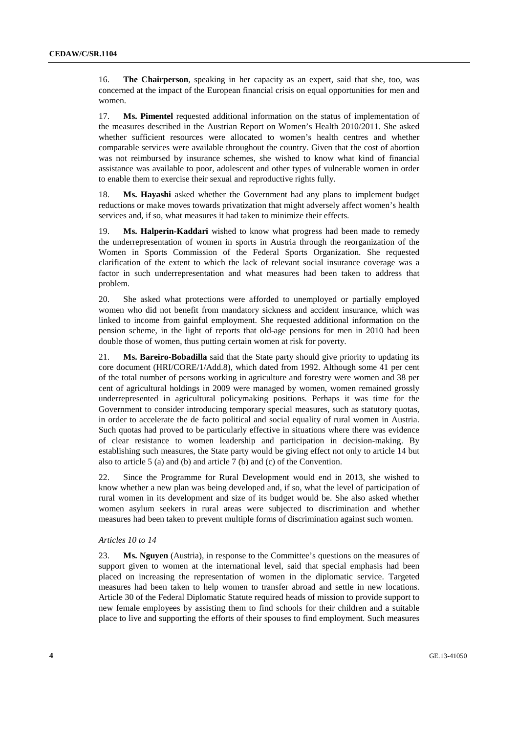16. **The Chairperson**, speaking in her capacity as an expert, said that she, too, was concerned at the impact of the European financial crisis on equal opportunities for men and women.

17. **Ms. Pimentel** requested additional information on the status of implementation of the measures described in the Austrian Report on Women's Health 2010/2011. She asked whether sufficient resources were allocated to women's health centres and whether comparable services were available throughout the country. Given that the cost of abortion was not reimbursed by insurance schemes, she wished to know what kind of financial assistance was available to poor, adolescent and other types of vulnerable women in order to enable them to exercise their sexual and reproductive rights fully.

18. **Ms. Hayashi** asked whether the Government had any plans to implement budget reductions or make moves towards privatization that might adversely affect women's health services and, if so, what measures it had taken to minimize their effects.

19. **Ms. Halperin-Kaddari** wished to know what progress had been made to remedy the underrepresentation of women in sports in Austria through the reorganization of the Women in Sports Commission of the Federal Sports Organization. She requested clarification of the extent to which the lack of relevant social insurance coverage was a factor in such underrepresentation and what measures had been taken to address that problem.

20. She asked what protections were afforded to unemployed or partially employed women who did not benefit from mandatory sickness and accident insurance, which was linked to income from gainful employment. She requested additional information on the pension scheme, in the light of reports that old-age pensions for men in 2010 had been double those of women, thus putting certain women at risk for poverty.

21. **Ms. Bareiro-Bobadilla** said that the State party should give priority to updating its core document (HRI/CORE/1/Add.8), which dated from 1992. Although some 41 per cent of the total number of persons working in agriculture and forestry were women and 38 per cent of agricultural holdings in 2009 were managed by women, women remained grossly underrepresented in agricultural policymaking positions. Perhaps it was time for the Government to consider introducing temporary special measures, such as statutory quotas, in order to accelerate the de facto political and social equality of rural women in Austria. Such quotas had proved to be particularly effective in situations where there was evidence of clear resistance to women leadership and participation in decision-making. By establishing such measures, the State party would be giving effect not only to article 14 but also to article 5 (a) and (b) and article 7 (b) and (c) of the Convention.

22. Since the Programme for Rural Development would end in 2013, she wished to know whether a new plan was being developed and, if so, what the level of participation of rural women in its development and size of its budget would be. She also asked whether women asylum seekers in rural areas were subjected to discrimination and whether measures had been taken to prevent multiple forms of discrimination against such women.

### *Articles 10 to 14*

23. **Ms. Nguyen** (Austria), in response to the Committee's questions on the measures of support given to women at the international level, said that special emphasis had been placed on increasing the representation of women in the diplomatic service. Targeted measures had been taken to help women to transfer abroad and settle in new locations. Article 30 of the Federal Diplomatic Statute required heads of mission to provide support to new female employees by assisting them to find schools for their children and a suitable place to live and supporting the efforts of their spouses to find employment. Such measures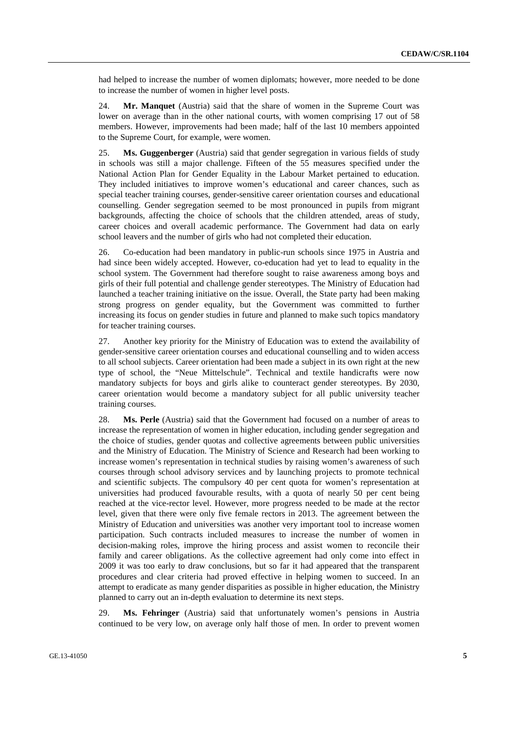had helped to increase the number of women diplomats; however, more needed to be done to increase the number of women in higher level posts.

24. **Mr. Manquet** (Austria) said that the share of women in the Supreme Court was lower on average than in the other national courts, with women comprising 17 out of 58 members. However, improvements had been made; half of the last 10 members appointed to the Supreme Court, for example, were women.

25. **Ms. Guggenberger** (Austria) said that gender segregation in various fields of study in schools was still a major challenge. Fifteen of the 55 measures specified under the National Action Plan for Gender Equality in the Labour Market pertained to education. They included initiatives to improve women's educational and career chances, such as special teacher training courses, gender-sensitive career orientation courses and educational counselling. Gender segregation seemed to be most pronounced in pupils from migrant backgrounds, affecting the choice of schools that the children attended, areas of study, career choices and overall academic performance. The Government had data on early school leavers and the number of girls who had not completed their education.

26. Co-education had been mandatory in public-run schools since 1975 in Austria and had since been widely accepted. However, co-education had yet to lead to equality in the school system. The Government had therefore sought to raise awareness among boys and girls of their full potential and challenge gender stereotypes. The Ministry of Education had launched a teacher training initiative on the issue. Overall, the State party had been making strong progress on gender equality, but the Government was committed to further increasing its focus on gender studies in future and planned to make such topics mandatory for teacher training courses.

27. Another key priority for the Ministry of Education was to extend the availability of gender-sensitive career orientation courses and educational counselling and to widen access to all school subjects. Career orientation had been made a subject in its own right at the new type of school, the "Neue Mittelschule". Technical and textile handicrafts were now mandatory subjects for boys and girls alike to counteract gender stereotypes. By 2030, career orientation would become a mandatory subject for all public university teacher training courses.

28. **Ms. Perle** (Austria) said that the Government had focused on a number of areas to increase the representation of women in higher education, including gender segregation and the choice of studies, gender quotas and collective agreements between public universities and the Ministry of Education. The Ministry of Science and Research had been working to increase women's representation in technical studies by raising women's awareness of such courses through school advisory services and by launching projects to promote technical and scientific subjects. The compulsory 40 per cent quota for women's representation at universities had produced favourable results, with a quota of nearly 50 per cent being reached at the vice-rector level. However, more progress needed to be made at the rector level, given that there were only five female rectors in 2013. The agreement between the Ministry of Education and universities was another very important tool to increase women participation. Such contracts included measures to increase the number of women in decision-making roles, improve the hiring process and assist women to reconcile their family and career obligations. As the collective agreement had only come into effect in 2009 it was too early to draw conclusions, but so far it had appeared that the transparent procedures and clear criteria had proved effective in helping women to succeed. In an attempt to eradicate as many gender disparities as possible in higher education, the Ministry planned to carry out an in-depth evaluation to determine its next steps.

29. **Ms. Fehringer** (Austria) said that unfortunately women's pensions in Austria continued to be very low, on average only half those of men. In order to prevent women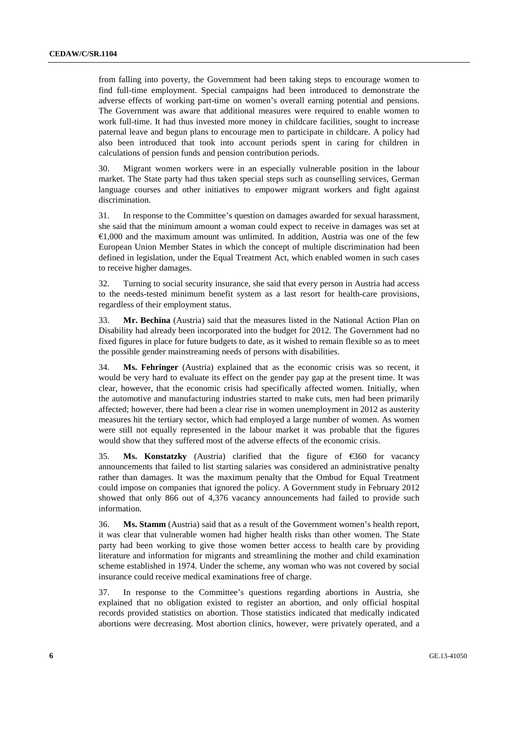from falling into poverty, the Government had been taking steps to encourage women to find full-time employment. Special campaigns had been introduced to demonstrate the adverse effects of working part-time on women's overall earning potential and pensions. The Government was aware that additional measures were required to enable women to work full-time. It had thus invested more money in childcare facilities, sought to increase paternal leave and begun plans to encourage men to participate in childcare. A policy had also been introduced that took into account periods spent in caring for children in calculations of pension funds and pension contribution periods.

30. Migrant women workers were in an especially vulnerable position in the labour market. The State party had thus taken special steps such as counselling services, German language courses and other initiatives to empower migrant workers and fight against discrimination.

31. In response to the Committee's question on damages awarded for sexual harassment, she said that the minimum amount a woman could expect to receive in damages was set at  $€1,000$  and the maximum amount was unlimited. In addition, Austria was one of the few European Union Member States in which the concept of multiple discrimination had been defined in legislation, under the Equal Treatment Act, which enabled women in such cases to receive higher damages.

32. Turning to social security insurance, she said that every person in Austria had access to the needs-tested minimum benefit system as a last resort for health-care provisions, regardless of their employment status.

33. **Mr. Bechina** (Austria) said that the measures listed in the National Action Plan on Disability had already been incorporated into the budget for 2012. The Government had no fixed figures in place for future budgets to date, as it wished to remain flexible so as to meet the possible gender mainstreaming needs of persons with disabilities.

34. **Ms. Fehringer** (Austria) explained that as the economic crisis was so recent, it would be very hard to evaluate its effect on the gender pay gap at the present time. It was clear, however, that the economic crisis had specifically affected women. Initially, when the automotive and manufacturing industries started to make cuts, men had been primarily affected; however, there had been a clear rise in women unemployment in 2012 as austerity measures hit the tertiary sector, which had employed a large number of women. As women were still not equally represented in the labour market it was probable that the figures would show that they suffered most of the adverse effects of the economic crisis.

35. **Ms. Konstatzky** (Austria) clarified that the figure of  $\epsilon$ 360 for vacancy announcements that failed to list starting salaries was considered an administrative penalty rather than damages. It was the maximum penalty that the Ombud for Equal Treatment could impose on companies that ignored the policy. A Government study in February 2012 showed that only 866 out of 4,376 vacancy announcements had failed to provide such information.

36. **Ms. Stamm** (Austria) said that as a result of the Government women's health report, it was clear that vulnerable women had higher health risks than other women. The State party had been working to give those women better access to health care by providing literature and information for migrants and streamlining the mother and child examination scheme established in 1974. Under the scheme, any woman who was not covered by social insurance could receive medical examinations free of charge.

37. In response to the Committee's questions regarding abortions in Austria, she explained that no obligation existed to register an abortion, and only official hospital records provided statistics on abortion. Those statistics indicated that medically indicated abortions were decreasing. Most abortion clinics, however, were privately operated, and a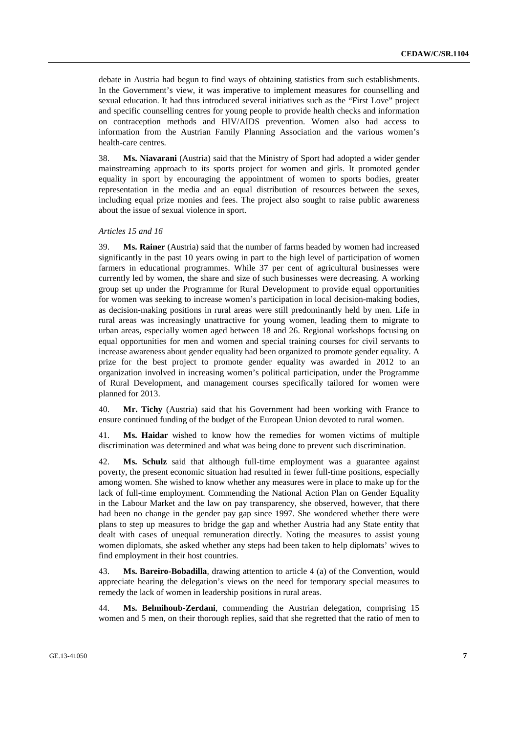debate in Austria had begun to find ways of obtaining statistics from such establishments. In the Government's view, it was imperative to implement measures for counselling and sexual education. It had thus introduced several initiatives such as the "First Love" project and specific counselling centres for young people to provide health checks and information on contraception methods and HIV/AIDS prevention. Women also had access to information from the Austrian Family Planning Association and the various women's health-care centres.

38. **Ms. Niavarani** (Austria) said that the Ministry of Sport had adopted a wider gender mainstreaming approach to its sports project for women and girls. It promoted gender equality in sport by encouraging the appointment of women to sports bodies, greater representation in the media and an equal distribution of resources between the sexes, including equal prize monies and fees. The project also sought to raise public awareness about the issue of sexual violence in sport.

#### *Articles 15 and 16*

39. **Ms. Rainer** (Austria) said that the number of farms headed by women had increased significantly in the past 10 years owing in part to the high level of participation of women farmers in educational programmes. While 37 per cent of agricultural businesses were currently led by women, the share and size of such businesses were decreasing. A working group set up under the Programme for Rural Development to provide equal opportunities for women was seeking to increase women's participation in local decision-making bodies, as decision-making positions in rural areas were still predominantly held by men. Life in rural areas was increasingly unattractive for young women, leading them to migrate to urban areas, especially women aged between 18 and 26. Regional workshops focusing on equal opportunities for men and women and special training courses for civil servants to increase awareness about gender equality had been organized to promote gender equality. A prize for the best project to promote gender equality was awarded in 2012 to an organization involved in increasing women's political participation, under the Programme of Rural Development, and management courses specifically tailored for women were planned for 2013.

40. **Mr. Tichy** (Austria) said that his Government had been working with France to ensure continued funding of the budget of the European Union devoted to rural women.

41. **Ms. Haidar** wished to know how the remedies for women victims of multiple discrimination was determined and what was being done to prevent such discrimination.

42. **Ms. Schulz** said that although full-time employment was a guarantee against poverty, the present economic situation had resulted in fewer full-time positions, especially among women. She wished to know whether any measures were in place to make up for the lack of full-time employment. Commending the National Action Plan on Gender Equality in the Labour Market and the law on pay transparency, she observed, however, that there had been no change in the gender pay gap since 1997. She wondered whether there were plans to step up measures to bridge the gap and whether Austria had any State entity that dealt with cases of unequal remuneration directly. Noting the measures to assist young women diplomats, she asked whether any steps had been taken to help diplomats' wives to find employment in their host countries.

43. **Ms. Bareiro-Bobadilla**, drawing attention to article 4 (a) of the Convention, would appreciate hearing the delegation's views on the need for temporary special measures to remedy the lack of women in leadership positions in rural areas.

44. **Ms. Belmihoub-Zerdani**, commending the Austrian delegation, comprising 15 women and 5 men, on their thorough replies, said that she regretted that the ratio of men to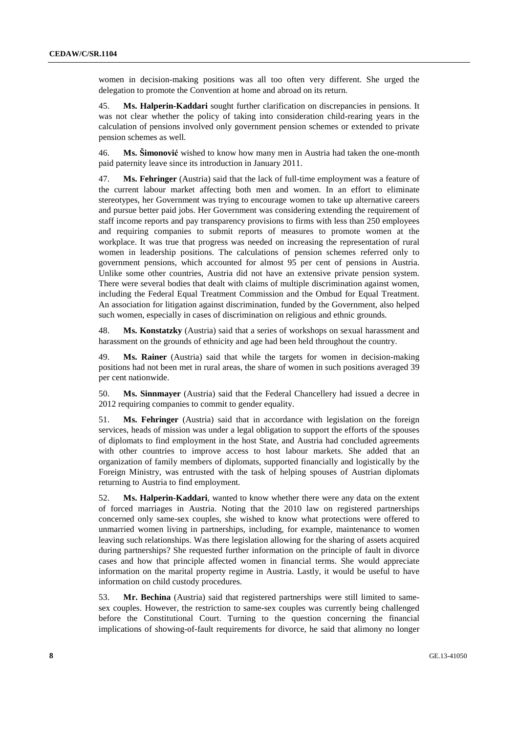women in decision-making positions was all too often very different. She urged the delegation to promote the Convention at home and abroad on its return.

45. **Ms. Halperin-Kaddari** sought further clarification on discrepancies in pensions. It was not clear whether the policy of taking into consideration child-rearing years in the calculation of pensions involved only government pension schemes or extended to private pension schemes as well.

46. **Ms. Šimonović** wished to know how many men in Austria had taken the one-month paid paternity leave since its introduction in January 2011.

47. **Ms. Fehringer** (Austria) said that the lack of full-time employment was a feature of the current labour market affecting both men and women. In an effort to eliminate stereotypes, her Government was trying to encourage women to take up alternative careers and pursue better paid jobs. Her Government was considering extending the requirement of staff income reports and pay transparency provisions to firms with less than 250 employees and requiring companies to submit reports of measures to promote women at the workplace. It was true that progress was needed on increasing the representation of rural women in leadership positions. The calculations of pension schemes referred only to government pensions, which accounted for almost 95 per cent of pensions in Austria. Unlike some other countries, Austria did not have an extensive private pension system. There were several bodies that dealt with claims of multiple discrimination against women, including the Federal Equal Treatment Commission and the Ombud for Equal Treatment. An association for litigation against discrimination, funded by the Government, also helped such women, especially in cases of discrimination on religious and ethnic grounds.

48. **Ms. Konstatzky** (Austria) said that a series of workshops on sexual harassment and harassment on the grounds of ethnicity and age had been held throughout the country.

49. **Ms. Rainer** (Austria) said that while the targets for women in decision-making positions had not been met in rural areas, the share of women in such positions averaged 39 per cent nationwide.

50. **Ms. Sinnmayer** (Austria) said that the Federal Chancellery had issued a decree in 2012 requiring companies to commit to gender equality.

51. **Ms. Fehringer** (Austria) said that in accordance with legislation on the foreign services, heads of mission was under a legal obligation to support the efforts of the spouses of diplomats to find employment in the host State, and Austria had concluded agreements with other countries to improve access to host labour markets. She added that an organization of family members of diplomats, supported financially and logistically by the Foreign Ministry, was entrusted with the task of helping spouses of Austrian diplomats returning to Austria to find employment.

52. **Ms. Halperin-Kaddari**, wanted to know whether there were any data on the extent of forced marriages in Austria. Noting that the 2010 law on registered partnerships concerned only same-sex couples, she wished to know what protections were offered to unmarried women living in partnerships, including, for example, maintenance to women leaving such relationships. Was there legislation allowing for the sharing of assets acquired during partnerships? She requested further information on the principle of fault in divorce cases and how that principle affected women in financial terms. She would appreciate information on the marital property regime in Austria. Lastly, it would be useful to have information on child custody procedures.

53. **Mr. Bechina** (Austria) said that registered partnerships were still limited to samesex couples. However, the restriction to same-sex couples was currently being challenged before the Constitutional Court. Turning to the question concerning the financial implications of showing-of-fault requirements for divorce, he said that alimony no longer